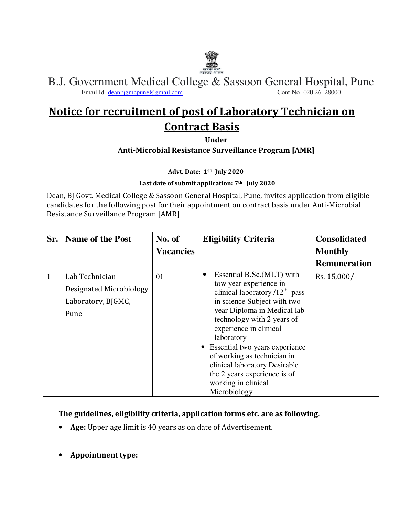

B.J. Government Medical College & Sassoon General Hospital, Pune<br>
Email Id-deanbigmcpune@gmail.com Email Id- deanbjgmcpune@gmail.com

# **Notice for recruitment of post of Laboratory Technician on Contract Basis**

**Under** 

**Anti-Microbial Resistance Surveillance Program [AMR]**

**Advt. Date: 1ST July 2020** 

**Last date of submit application: 7th July 2020** 

Dean, BJ Govt. Medical College & Sassoon General Hospital, Pune, invites application from eligible candidates for the following post for their appointment on contract basis under Anti-Microbial Resistance Surveillance Program [AMR]

| Sr. | <b>Name of the Post</b>                                                 | No. of<br><b>Vacancies</b> | <b>Eligibility Criteria</b>                                                                                                                                                                                                                                                                                                                                                                                           | <b>Consolidated</b><br><b>Monthly</b> |
|-----|-------------------------------------------------------------------------|----------------------------|-----------------------------------------------------------------------------------------------------------------------------------------------------------------------------------------------------------------------------------------------------------------------------------------------------------------------------------------------------------------------------------------------------------------------|---------------------------------------|
|     |                                                                         |                            |                                                                                                                                                                                                                                                                                                                                                                                                                       | <b>Remuneration</b>                   |
| 1   | Lab Technician<br>Designated Microbiology<br>Laboratory, BJGMC,<br>Pune | 01                         | Essential B.Sc. (MLT) with<br>$\bullet$<br>tow year experience in<br>clinical laboratory $/12^{th}$ pass<br>in science Subject with two<br>year Diploma in Medical lab<br>technology with 2 years of<br>experience in clinical<br>laboratory<br>Essential two years experience<br>of working as technician in<br>clinical laboratory Desirable<br>the 2 years experience is of<br>working in clinical<br>Microbiology | Rs. 15,000/-                          |

**The guidelines, eligibility criteria, application forms etc. are as following.** 

- **Age:** Upper age limit is 40 years as on date of Advertisement.
- **Appointment type:**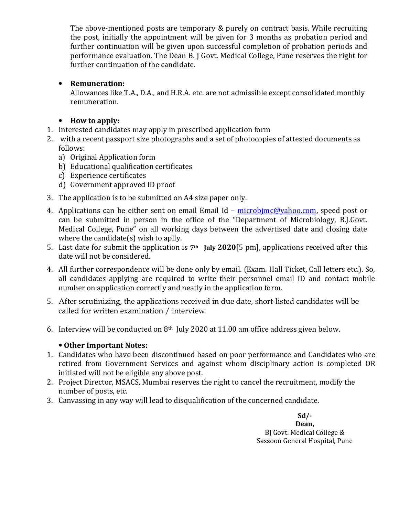The above-mentioned posts are temporary & purely on contract basis. While recruiting the post, initially the appointment will be given for 3 months as probation period and further continuation will be given upon successful completion of probation periods and performance evaluation. The Dean B. J Govt. Medical College, Pune reserves the right for further continuation of the candidate.

#### • **Remuneration:**

Allowances like T.A., D.A., and H.R.A. etc. are not admissible except consolidated monthly remuneration.

### • **How to apply:**

- 1. Interested candidates may apply in prescribed application form
- 2. with a recent passport size photographs and a set of photocopies of attested documents as follows:
	- a) Original Application form
	- b) Educational qualification certificates
	- c) Experience certificates
	- d) Government approved ID proof
- 3. The application is to be submitted on A4 size paper only.
- 4. Applications can be either sent on email Email Id microbimc@yahoo.com, speed post or can be submitted in person in the office of the "Department of Microbiology, B.J.Govt. Medical College, Pune" on all working days between the advertised date and closing date where the candidate(s) wish to aplly.
- 5. Last date for submit the application is **7th July 2020**[5 pm], applications received after this date will not be considered.
- 4. All further correspondence will be done only by email. (Exam. Hall Ticket, Call letters etc.). So, all candidates applying are required to write their personnel email ID and contact mobile number on application correctly and neatly in the application form.
- 5. After scrutinizing, the applications received in due date, short-listed candidates will be called for written examination / interview.
- 6. Interview will be conducted on  $8<sup>th</sup>$  July 2020 at 11.00 am office address given below.

#### • **Other Important Notes:**

- 1. Candidates who have been discontinued based on poor performance and Candidates who are retired from Government Services and against whom disciplinary action is completed OR initiated will not be eligible any above post.
- 2. Project Director, MSACS, Mumbai reserves the right to cancel the recruitment, modify the number of posts, etc.
- 3. Canvassing in any way will lead to disqualification of the concerned candidate.

**Sd/- Dean,**  BJ Govt. Medical College & Sassoon General Hospital, Pune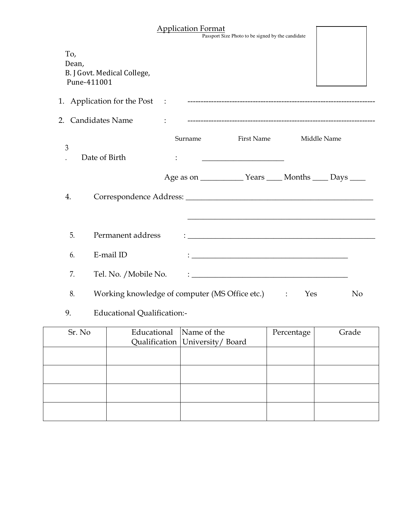|                             |                                                  |              | <b>Application Format</b> | Passport Size Photo to be signed by the candidate                                                                                                                                                                               |     |                |
|-----------------------------|--------------------------------------------------|--------------|---------------------------|---------------------------------------------------------------------------------------------------------------------------------------------------------------------------------------------------------------------------------|-----|----------------|
| To,<br>Dean,<br>Pune-411001 | B. J Govt. Medical College,                      |              |                           |                                                                                                                                                                                                                                 |     |                |
|                             |                                                  |              |                           |                                                                                                                                                                                                                                 |     |                |
|                             | 2. Candidates Name                               | $\mathbf{L}$ |                           |                                                                                                                                                                                                                                 |     |                |
| 3                           | Date of Birth                                    |              | Surname                   | <b>First Name</b>                                                                                                                                                                                                               |     | Middle Name    |
|                             |                                                  |              |                           |                                                                                                                                                                                                                                 |     |                |
| 4.                          |                                                  |              |                           |                                                                                                                                                                                                                                 |     |                |
| 5.                          | Permanent address                                |              |                           | $\ddotsc$ . The contract of the contract of the contract of the contract of the contract of the contract of the contract of the contract of the contract of the contract of the contract of the contract of the contract of the |     |                |
| 6.                          | E-mail ID                                        |              |                           |                                                                                                                                                                                                                                 |     |                |
| 7.                          | Tel. No. / Mobile No.                            |              |                           | <u> 1989 - Johann Stein, marwolaethau a bhann an t-Amhain Aonaich an t-Amhain Aonaich an t-Amhain Aonaich an t-A</u>                                                                                                            |     |                |
| 8.                          | Working knowledge of computer (MS Office etc.) : |              |                           |                                                                                                                                                                                                                                 | Yes | N <sub>o</sub> |

## 9. Educational Qualification:-

| Sr. No | Educational Name of the |                                    | Percentage | Grade |
|--------|-------------------------|------------------------------------|------------|-------|
|        |                         | Qualification   University / Board |            |       |
|        |                         |                                    |            |       |
|        |                         |                                    |            |       |
|        |                         |                                    |            |       |
|        |                         |                                    |            |       |
|        |                         |                                    |            |       |
|        |                         |                                    |            |       |
|        |                         |                                    |            |       |
|        |                         |                                    |            |       |